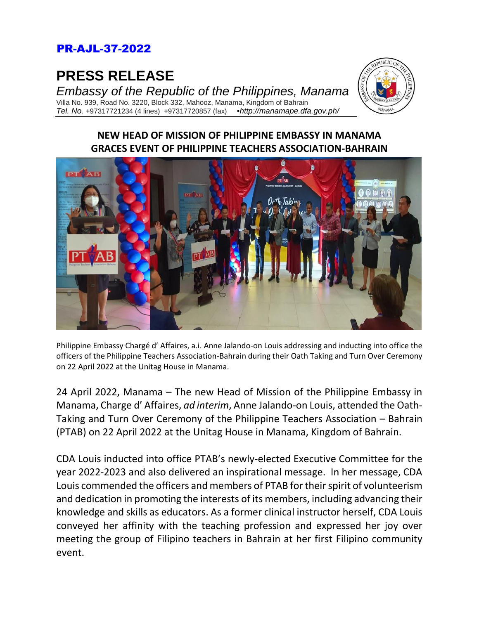## PR-AJL-37-2022

**PRESS RELEASE**

*Embassy of the Republic of the Philippines, Manama* Villa No. 939, Road No. 3220, Block 332, Mahooz, Manama, Kingdom of Bahrain *Tel. No.* +97317721234 (4 lines) +97317720857 (fax) *▪http://manamape.dfa.gov.ph/*



## **NEW HEAD OF MISSION OF PHILIPPINE EMBASSY IN MANAMA GRACES EVENT OF PHILIPPINE TEACHERS ASSOCIATION-BAHRAIN**



Philippine Embassy Chargé d' Affaires, a.i. Anne Jalando-on Louis addressing and inducting into office the officers of the Philippine Teachers Association-Bahrain during their Oath Taking and Turn Over Ceremony on 22 April 2022 at the Unitag House in Manama.

24 April 2022, Manama – The new Head of Mission of the Philippine Embassy in Manama, Charge d' Affaires, *ad interim*, Anne Jalando-on Louis, attended the Oath-Taking and Turn Over Ceremony of the Philippine Teachers Association – Bahrain (PTAB) on 22 April 2022 at the Unitag House in Manama, Kingdom of Bahrain.

CDA Louis inducted into office PTAB's newly-elected Executive Committee for the year 2022-2023 and also delivered an inspirational message. In her message, CDA Louis commended the officers and members of PTAB for their spirit of volunteerism and dedication in promoting the interests of its members, including advancing their knowledge and skills as educators. As a former clinical instructor herself, CDA Louis conveyed her affinity with the teaching profession and expressed her joy over meeting the group of Filipino teachers in Bahrain at her first Filipino community event.